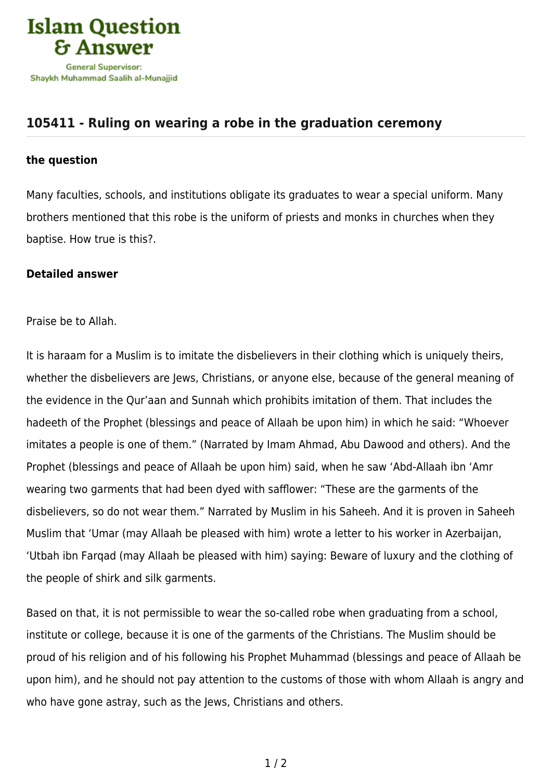

## **[105411 - Ruling on wearing a robe in the graduation ceremony](https://islamqa.com/en/answers/105411/ruling-on-wearing-a-robe-in-the-graduation-ceremony)**

## **the question**

Many faculties, schools, and institutions obligate its graduates to wear a special uniform. Many brothers mentioned that this robe is the uniform of priests and monks in churches when they baptise. How true is this?.

## **Detailed answer**

Praise be to Allah.

It is haraam for a Muslim is to imitate the disbelievers in their clothing which is uniquely theirs, whether the disbelievers are Jews, Christians, or anyone else, because of the general meaning of the evidence in the Qur'aan and Sunnah which prohibits imitation of them. That includes the hadeeth of the Prophet (blessings and peace of Allaah be upon him) in which he said: "Whoever imitates a people is one of them." (Narrated by Imam Ahmad, Abu Dawood and others). And the Prophet (blessings and peace of Allaah be upon him) said, when he saw 'Abd-Allaah ibn 'Amr wearing two garments that had been dyed with safflower: "These are the garments of the disbelievers, so do not wear them." Narrated by Muslim in his Saheeh. And it is proven in Saheeh Muslim that 'Umar (may Allaah be pleased with him) wrote a letter to his worker in Azerbaijan, 'Utbah ibn Farqad (may Allaah be pleased with him) saying: Beware of luxury and the clothing of the people of shirk and silk garments.

Based on that, it is not permissible to wear the so-called robe when graduating from a school, institute or college, because it is one of the garments of the Christians. The Muslim should be proud of his religion and of his following his Prophet Muhammad (blessings and peace of Allaah be upon him), and he should not pay attention to the customs of those with whom Allaah is angry and who have gone astray, such as the Jews, Christians and others.